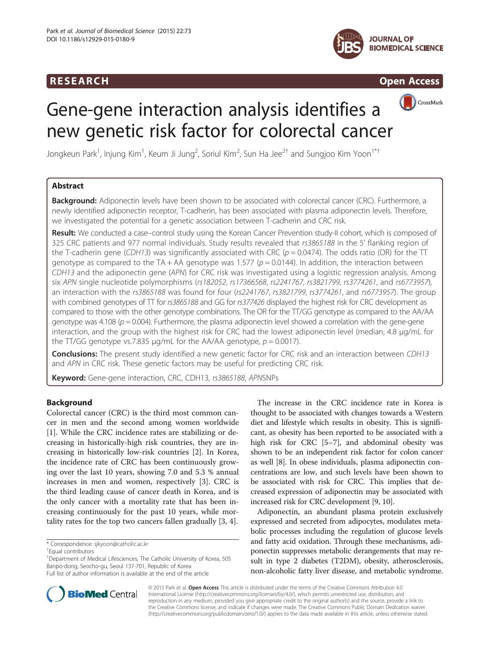## **RESEARCH RESEARCH CONSUMING ACCESS**





CrossMark

# Gene-gene interaction analysis identifies a new genetic risk factor for colorectal cancer

Jongkeun Park $^1$ , Injung Kim $^1$ , Keum Ji Jung $^2$ , Soriul Kim $^2$ , Sun Ha Jee $^{2+}$  and Sungjoo Kim Yoon $^{1^*+}$ 

## Abstract

Background: Adiponectin levels have been shown to be associated with colorectal cancer (CRC). Furthermore, a newly identified adiponectin receptor, T-cadherin, has been associated with plasma adiponectin levels. Therefore, we investigated the potential for a genetic association between T-cadherin and CRC risk.

Result: We conducted a case–control study using the Korean Cancer Prevention study-II cohort, which is composed of 325 CRC patients and 977 normal individuals. Study results revealed that rs3865188 in the 5' flanking region of the T-cadherin gene (CDH13) was significantly associated with CRC ( $p = 0.0474$ ). The odds ratio (OR) for the TT genotype as compared to the TA + AA genotype was 1.577 ( $p = 0.0144$ ). In addition, the interaction between CDH13 and the adiponectin gene (APN) for CRC risk was investigated using a logistic regression analysis. Among six APN single nucleotide polymorphisms (rs182052, rs17366568, rs2241767, rs3821799, rs3774261, and rs6773957), an interaction with the rs3865188 was found for four (rs2241767, rs3821799, rs3774261, and rs6773957). The group with combined genotypes of TT for rs3865188 and GG for rs377426 displayed the highest risk for CRC development as compared to those with the other genotype combinations. The OR for the TT/GG genotype as compared to the AA/AA genotype was 4.108 ( $p = 0.004$ ). Furthermore, the plasma adiponectin level showed a correlation with the gene-gene interaction, and the group with the highest risk for CRC had the lowest adiponectin level (median, 4.8 μg/mL for the TT/GG genotype vs.7.835  $\mu$ g/mL for the AA/AA genotype,  $p = 0.0017$ ).

**Conclusions:** The present study identified a new genetic factor for CRC risk and an interaction between CDH13 and APN in CRC risk. These genetic factors may be useful for predicting CRC risk.

Keyword: Gene-gene interaction, CRC, CDH13, rs3865188, APNSNPs

## Background

Colorectal cancer (CRC) is the third most common cancer in men and the second among women worldwide [[1\]](#page-6-0). While the CRC incidence rates are stabilizing or decreasing in historically-high risk countries, they are increasing in historically low-risk countries [[2\]](#page-6-0). In Korea, the incidence rate of CRC has been continuously growing over the last 10 years, showing 7.0 and 5.3 % annual increases in men and women, respectively [\[3](#page-6-0)]. CRC is the third leading cause of cancer death in Korea, and is the only cancer with a mortality rate that has been increasing continuously for the past 10 years, while mortality rates for the top two cancers fallen gradually [\[3, 4\]](#page-6-0).

\* Correspondence: [sjkyoon@catholic.ac.kr](mailto:sjkyoon@catholic.ac.kr) †

<sup>1</sup>Department of Medical Lifesciences, The Catholic University of Korea, 505 Banpo-dong, Seocho-gu, Seoul 137-701, Republic of Korea Full list of author information is available at the end of the article

Adiponectin, an abundant plasma protein exclusively expressed and secreted from adipocytes, modulates metabolic processes including the regulation of glucose levels and fatty acid oxidation. Through these mechanisms, adiponectin suppresses metabolic derangements that may result in type 2 diabetes (T2DM), obesity, atherosclerosis, non-alcoholic fatty liver disease, and metabolic syndrome.



© 2015 Park et al. Open Access This article is distributed under the terms of the Creative Commons Attribution 4.0 International License [\(http://creativecommons.org/licenses/by/4.0/](http://creativecommons.org/licenses/by/4.0/)), which permits unrestricted use, distribution, and reproduction in any medium, provided you give appropriate credit to the original author(s) and the source, provide a link to the Creative Commons license, and indicate if changes were made. The Creative Commons Public Domain Dedication waiver [\(http://creativecommons.org/publicdomain/zero/1.0/](http://creativecommons.org/publicdomain/zero/1.0/)) applies to the data made available in this article, unless otherwise stated.

Equal contributors

The increase in the CRC incidence rate in Korea is thought to be associated with changes towards a Western diet and lifestyle which results in obesity. This is significant, as obesity has been reported to be associated with a high risk for CRC [\[5](#page-6-0)–[7\]](#page-6-0), and abdominal obesity was shown to be an independent risk factor for colon cancer as well [[8\]](#page-6-0). In obese individuals, plasma adiponectin concentrations are low, and such levels have been shown to be associated with risk for CRC. This implies that decreased expression of adiponectin may be associated with increased risk for CRC development [\[9](#page-6-0), [10](#page-6-0)].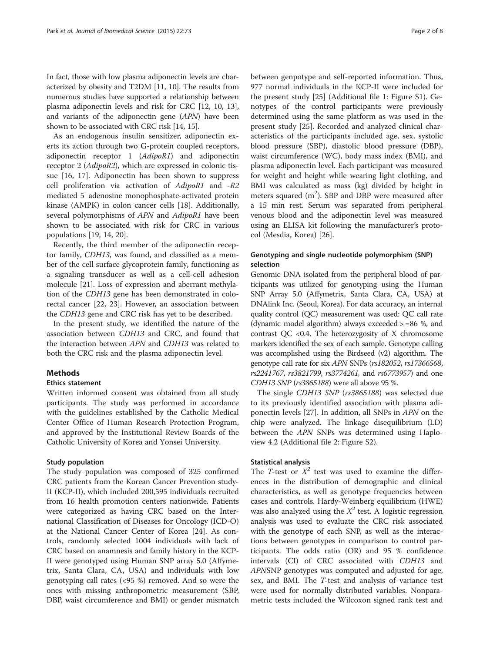In fact, those with low plasma adiponectin levels are characterized by obesity and T2DM [\[11, 10\]](#page-6-0). The results from numerous studies have supported a relationship between plasma adiponectin levels and risk for CRC [\[12, 10, 13](#page-6-0)], and variants of the adiponectin gene (APN) have been shown to be associated with CRC risk [\[14, 15](#page-6-0)].

As an endogenous insulin sensitizer, adiponectin exerts its action through two G-protein coupled receptors, adiponectin receptor 1 (AdipoR1) and adiponectin receptor 2 (AdipoR2), which are expressed in colonic tissue [[16, 17](#page-6-0)]. Adiponectin has been shown to suppress cell proliferation via activation of AdipoR1 and -R2 mediated 5' adenosine monophosphate-activated protein kinase (AMPK) in colon cancer cells [\[18\]](#page-6-0). Additionally, several polymorphisms of APN and AdipoR1 have been shown to be associated with risk for CRC in various populations [[19](#page-6-0), [14](#page-6-0), [20](#page-6-0)].

Recently, the third member of the adiponectin receptor family, CDH13, was found, and classified as a member of the cell surface glycoprotein family, functioning as a signaling transducer as well as a cell-cell adhesion molecule [\[21](#page-6-0)]. Loss of expression and aberrant methylation of the CDH13 gene has been demonstrated in colorectal cancer [\[22, 23\]](#page-6-0). However, an association between the CDH13 gene and CRC risk has yet to be described.

In the present study, we identified the nature of the association between CDH13 and CRC, and found that the interaction between APN and CDH13 was related to both the CRC risk and the plasma adiponectin level.

#### **Methods**

## Ethics statement

Written informed consent was obtained from all study participants. The study was performed in accordance with the guidelines established by the Catholic Medical Center Office of Human Research Protection Program, and approved by the Institutional Review Boards of the Catholic University of Korea and Yonsei University.

#### Study population

The study population was composed of 325 confirmed CRC patients from the Korean Cancer Prevention study-II (KCP-II), which included 200,595 individuals recruited from 16 health promotion centers nationwide. Patients were categorized as having CRC based on the International Classification of Diseases for Oncology (ICD-O) at the National Cancer Center of Korea [[24\]](#page-6-0). As controls, randomly selected 1004 individuals with lack of CRC based on anamnesis and family history in the KCP-II were genotyped using Human SNP array 5.0 (Affymetrix, Santa Clara, CA, USA) and individuals with low genotyping call rates (<95 %) removed. And so were the ones with missing anthropometric measurement (SBP, DBP, waist circumference and BMI) or gender mismatch

between genpotype and self-reported information. Thus, 977 normal individuals in the KCP-II were included for the present study [\[25\]](#page-6-0) (Additional file [1:](#page-5-0) Figure S1). Genotypes of the control participants were previously determined using the same platform as was used in the present study [\[25\]](#page-6-0). Recorded and analyzed clinical characteristics of the participants included age, sex, systolic blood pressure (SBP), diastolic blood pressure (DBP), waist circumference (WC), body mass index (BMI), and plasma adiponectin level. Each participant was measured for weight and height while wearing light clothing, and BMI was calculated as mass (kg) divided by height in meters squared  $(m^2)$ . SBP and DBP were measured after a 15 min rest. Serum was separated from peripheral venous blood and the adiponectin level was measured using an ELISA kit following the manufacturer's protocol (Mesdia, Korea) [\[26\]](#page-6-0).

## Genotyping and single nucleotide polymorphism (SNP) selection

Genomic DNA isolated from the peripheral blood of participants was utilized for genotyping using the Human SNP Array 5.0 (Affymetrix, Santa Clara, CA, USA) at DNAlink Inc. (Seoul, Korea). For data accuracy, an internal quality control (QC) measurement was used: QC call rate (dynamic model algorithm) always exceeded > =86 %, and contrast QC <0.4. The heterozygosity of X chromosome markers identified the sex of each sample. Genotype calling was accomplished using the Birdseed (v2) algorithm. The genotype call rate for six APN SNPs (rs182052, rs17366568, rs2241767, rs3821799, rs3774261, and rs6773957) and one CDH13 SNP (rs3865188) were all above 95 %.

The single CDH13 SNP (rs3865188) was selected due to its previously identified association with plasma adiponectin levels [\[27](#page-6-0)]. In addition, all SNPs in APN on the chip were analyzed. The linkage disequilibrium (LD) between the APN SNPs was determined using Haploview 4.2 (Additional file [2](#page-5-0): Figure S2).

#### Statistical analysis

The T-test or  $X^2$  test was used to examine the differences in the distribution of demographic and clinical characteristics, as well as genotype frequencies between cases and controls. Hardy-Weinberg equilibrium (HWE) was also analyzed using the  $X^2$  test. A logistic regression analysis was used to evaluate the CRC risk associated with the genotype of each SNP, as well as the interactions between genotypes in comparison to control participants. The odds ratio (OR) and 95 % confidence intervals (CI) of CRC associated with CDH13 and APNSNP genotypes was computed and adjusted for age, sex, and BMI. The T-test and analysis of variance test were used for normally distributed variables. Nonparametric tests included the Wilcoxon signed rank test and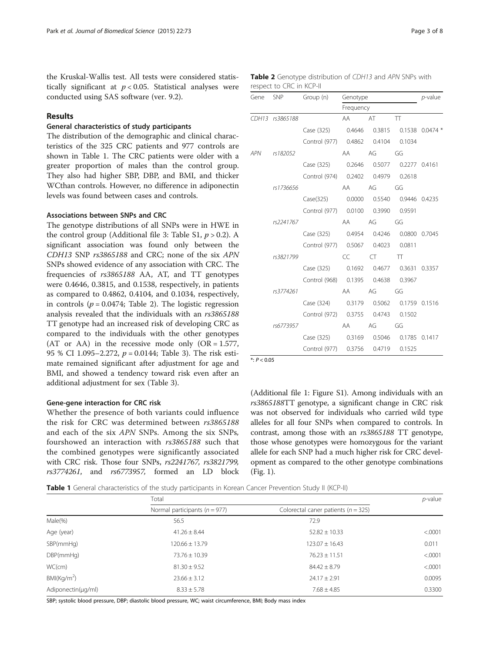the Kruskal-Wallis test. All tests were considered statistically significant at  $p < 0.05$ . Statistical analyses were conducted using SAS software (ver. 9.2).

## Results

#### General characteristics of study participants

The distribution of the demographic and clinical characteristics of the 325 CRC patients and 977 controls are shown in Table 1. The CRC patients were older with a greater proportion of males than the control group. They also had higher SBP, DBP, and BMI, and thicker WCthan controls. However, no difference in adiponectin levels was found between cases and controls.

#### Associations between SNPs and CRC

The genotype distributions of all SNPs were in HWE in the control group (Additional file [3:](#page-5-0) Table S1,  $p > 0.2$ ). A significant association was found only between the CDH13 SNP rs3865188 and CRC; none of the six APN SNPs showed evidence of any association with CRC. The frequencies of rs3865188 AA, AT, and TT genotypes were 0.4646, 0.3815, and 0.1538, respectively, in patients as compared to 0.4862, 0.4104, and 0.1034, respectively, in controls ( $p = 0.0474$ ; Table 2). The logistic regression analysis revealed that the individuals with an rs3865188 TT genotype had an increased risk of developing CRC as compared to the individuals with the other genotypes (AT or AA) in the recessive mode only  $(OR = 1.577,$ 95 % CI 1.095–2.272,  $p = 0.0144$ ; Table [3](#page-3-0)). The risk estimate remained significant after adjustment for age and BMI, and showed a tendency toward risk even after an additional adjustment for sex (Table [3](#page-3-0)).

#### Gene-gene interaction for CRC risk

Whether the presence of both variants could influence the risk for CRC was determined between rs3865188 and each of the six APN SNPs. Among the six SNPs, fourshowed an interaction with rs3865188 such that the combined genotypes were significantly associated with CRC risk. Those four SNPs, rs2241767, rs3821799, rs3774261, and rs6773957, formed an LD block

Table 2 Genotype distribution of CDH13 and APN SNPs with respect to CRC in KCP-II

| Gene SNP |                 | Group (n)                                  | Genotype<br>Frequency |           |                          | $p$ -value |
|----------|-----------------|--------------------------------------------|-----------------------|-----------|--------------------------|------------|
|          |                 |                                            |                       |           |                          |            |
|          | CDH13 rs3865188 |                                            | AA                    | <b>AT</b> | TT                       |            |
|          |                 | Case (325) 0.4646                          |                       |           | 0.3815  0.1538  0.0474 * |            |
|          |                 | Control (977) 0.4862 0.4104 0.1034         |                       |           |                          |            |
| APN      | rs182052        |                                            | <b>AA</b>             | AG        | GG                       |            |
|          |                 | Case (325) 0.2646                          |                       |           | 0.5077 0.2277 0.4161     |            |
|          |                 | Control (974) 0.2402 0.4979 0.2618         |                       |           |                          |            |
|          | rs1736656       |                                            | <b>AA</b>             | AG        | GG                       |            |
|          |                 | Case(325) 0.0000                           |                       |           | 0.5540 0.9446 0.4235     |            |
|          |                 | Control (977)  0.0100  0.3990  0.9591      |                       |           |                          |            |
|          | rs2241767       |                                            | <b>AA</b>             | AG        | GG                       |            |
|          |                 | Case (325)  0.4954  0.4246  0.0800  0.7045 |                       |           |                          |            |
|          |                 | Control (977) 0.5067 0.4023 0.0811         |                       |           |                          |            |
|          | rs3821799       |                                            | CC                    | $CT$ TT   |                          |            |
|          |                 | Case (325)  0.1692  0.4677  0.3631  0.3357 |                       |           |                          |            |
|          |                 | Control (968) 0.1395 0.4638 0.3967         |                       |           |                          |            |
|          | rs3774261       |                                            | AA                    | AG        | GG                       |            |
|          |                 | Case (324) 0.3179                          |                       |           | 0.5062 0.1759 0.1516     |            |
|          |                 | Control (972) 0.3755 0.4743 0.1502         |                       |           |                          |            |
|          | rs6773957       |                                            | AA aas                | AG        | GG                       |            |
|          |                 | Case (325)  0.3169  0.5046  0.1785  0.1417 |                       |           |                          |            |
|          |                 | Control (977) 0.3756                       |                       | 0.4719    | 0.1525                   |            |

 $*: P < 0.05$ 

(Additional file [1](#page-5-0): Figure S1). Among individuals with an rs3865188TT genotype, a significant change in CRC risk was not observed for individuals who carried wild type alleles for all four SNPs when compared to controls. In contrast, among those with an rs3865188 TT genotype, those whose genotypes were homozygous for the variant allele for each SNP had a much higher risk for CRC development as compared to the other genotype combinations (Fig. [1](#page-3-0)).

Table 1 General characteristics of the study participants in Korean Cancer Prevention Study II (KCP-II)

|                        | Total                             |                                         | $p$ -value |  |
|------------------------|-----------------------------------|-----------------------------------------|------------|--|
|                        | Normal participants ( $n = 977$ ) | Colorectal caner patients ( $n = 325$ ) |            |  |
| Male(%)                | 56.5                              | 72.9                                    |            |  |
| Age (year)             | $41.26 \pm 8.44$                  | $52.82 \pm 10.33$                       | < .0001    |  |
| SBP(mmHg)              | $120.66 \pm 13.79$                | $123.07 \pm 16.43$                      | 0.011      |  |
| DBP(mmHq)              | $73.76 \pm 10.39$                 | $76.23 \pm 11.51$                       | < .0001    |  |
| WC(cm)                 | $81.30 \pm 9.52$                  | $84.42 + 8.79$                          | < .0001    |  |
| BM(Kq/m <sup>2</sup> ) | $23.66 \pm 3.12$                  | $24.17 \pm 2.91$                        | 0.0095     |  |
| Adiponectin(µg/ml)     | $8.33 \pm 5.78$                   | $7.68 \pm 4.85$                         | 0.3300     |  |

SBP; systolic blood pressure, DBP; diastolic blood pressure, WC; waist circumference, BMI; Body mass index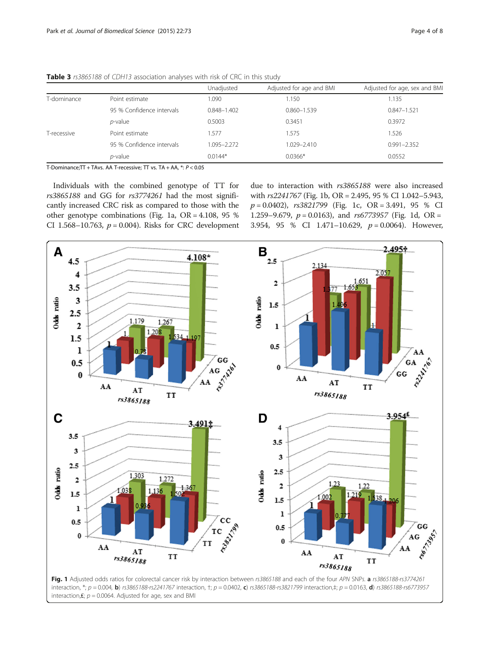|             |                           | Unadjusted  | Adjusted for age and BMI | Adjusted for age, sex and BMI |
|-------------|---------------------------|-------------|--------------------------|-------------------------------|
| T-dominance | Point estimate            | 1.090       | 1.150                    | .135                          |
|             | 95 % Confidence intervals | 0.848-1.402 | $0.860 - 1.539$          | $0.847 - 1.521$               |
|             | <i>p</i> -value           | 0.5003      | 0.3451                   | 0.3972                        |
| T-recessive | Point estimate            | 1.577       | 1.575                    | .526                          |
|             | 95 % Confidence intervals | 1.095-2.272 | 1.029-2.410              | $0.991 - 2.352$               |
|             | <i>p</i> -value           | $0.0144*$   | $0.0366*$                | 0.0552                        |

<span id="page-3-0"></span>Table 3 rs3865188 of CDH13 association analyses with risk of CRC in this study

T-Dominance;TT + TAvs. AA T-recessive; TT vs. TA + AA, \*: P < 0.05

Individuals with the combined genotype of TT for rs3865188 and GG for rs3774261 had the most significantly increased CRC risk as compared to those with the other genotype combinations (Fig. 1a, OR = 4.108, 95 % CI 1.568-10.763,  $p = 0.004$ ). Risks for CRC development due to interaction with rs3865188 were also increased with rs2241767 (Fig. 1b, OR = 2.495, 95 % CI 1.042–5.943,  $p = 0.0402$ ,  $rs3821799$  (Fig. 1c, OR = 3.491, 95 % CI 1.259–9.679,  $p = 0.0163$ ), and rs6773957 (Fig. 1d, OR = 3.954, 95 % CI 1.471-10.629,  $p = 0.0064$ ). However,



interaction,  $£; p = 0.0064$ . Adjusted for age, sex and BMI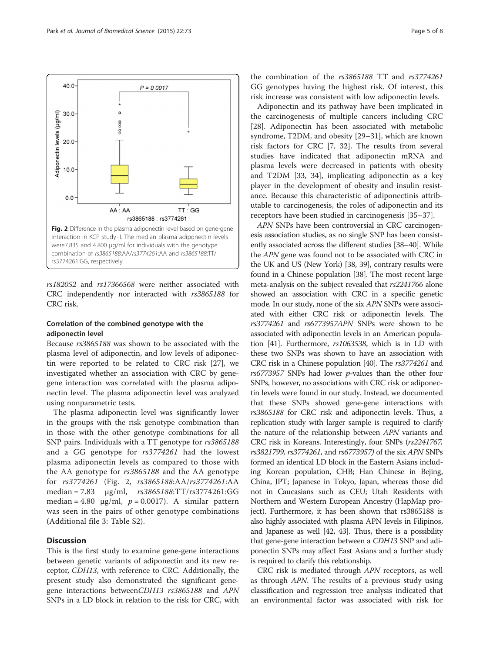

rs182052 and rs17366568 were neither associated with CRC independently nor interacted with rs3865188 for CRC risk.

#### Correlation of the combined genotype with the adiponectin level

Because rs3865188 was shown to be associated with the plasma level of adiponectin, and low levels of adiponectin were reported to be related to CRC risk [\[27\]](#page-6-0), we investigated whether an association with CRC by genegene interaction was correlated with the plasma adiponectin level. The plasma adiponectin level was analyzed using nonparametric tests.

The plasma adiponectin level was significantly lower in the groups with the risk genotype combination than in those with the other genotype combinations for all SNP pairs. Individuals with a TT genotype for rs3865188 and a GG genotype for rs3774261 had the lowest plasma adiponectin levels as compared to those with the AA genotype for rs3865188 and the AA genotype for rs3774261 (Fig. 2, rs3865188:AA/rs3774261:AA median = 7.83 μg/ml, rs3865188:TT/rs3774261:GG median = 4.80  $\mu$ g/ml,  $p = 0.0017$ ). A similar pattern was seen in the pairs of other genotype combinations (Additional file [3](#page-5-0): Table S2).

## **Discussion**

This is the first study to examine gene-gene interactions between genetic variants of adiponectin and its new receptor, CDH13, with reference to CRC. Additionally, the present study also demonstrated the significant genegene interactions betweenCDH13 rs3865188 and APN SNPs in a LD block in relation to the risk for CRC, with

the combination of the rs3865188 TT and rs3774261 GG genotypes having the highest risk. Of interest, this risk increase was consistent with low adiponectin levels.

Adiponectin and its pathway have been implicated in the carcinogenesis of multiple cancers including CRC [[28\]](#page-6-0). Adiponectin has been associated with metabolic syndrome, T2DM, and obesity [[29](#page-6-0)–[31](#page-6-0)], which are known risk factors for CRC [\[7, 32\]](#page-6-0). The results from several studies have indicated that adiponectin mRNA and plasma levels were decreased in patients with obesity and T2DM [[33, 34\]](#page-6-0), implicating adiponectin as a key player in the development of obesity and insulin resistance. Because this characteristic of adiponectinis attributable to carcinogenesis, the roles of adiponectin and its receptors have been studied in carcinogenesis [[35](#page-6-0)–[37\]](#page-6-0).

APN SNPs have been controversial in CRC carcinogenesis association studies, as no single SNP has been consistently associated across the different studies [[38](#page-6-0)–[40](#page-6-0)]. While the APN gene was found not to be associated with CRC in the UK and US (New York) [\[38, 39\]](#page-6-0), contrary results were found in a Chinese population [\[38\]](#page-6-0). The most recent large meta-analysis on the subject revealed that rs2241766 alone showed an association with CRC in a specific genetic mode. In our study, none of the six APN SNPs were associated with either CRC risk or adiponectin levels. The rs3774261 and rs6773957APN SNPs were shown to be associated with adiponectin levels in an American population [\[41\]](#page-6-0). Furthermore, rs1063538, which is in LD with these two SNPs was shown to have an association with CRC risk in a Chinese population [[40](#page-6-0)]. The rs3774261 and  $rs6773957$  SNPs had lower  $p$ -values than the other four SNPs, however, no associations with CRC risk or adiponectin levels were found in our study. Instead, we documented that these SNPs showed gene-gene interactions with rs3865188 for CRC risk and adiponectin levels. Thus, a replication study with larger sample is required to clarify the nature of the relationship between APN variants and CRC risk in Koreans. Interestingly, four SNPs (rs2241767, rs3821799, rs3774261, and rs6773957) of the six APN SNPs formed an identical LD block in the Eastern Asians including Korean population, CHB; Han Chinese in Bejing, China, JPT; Japanese in Tokyo, Japan, whereas those did not in Caucasians such as CEU; Utah Residents with Northern and Western European Ancestry (HapMap project). Furthermore, it has been shown that rs3865188 is also highly associated with plasma APN levels in Filipinos, and Japanese as well [\[42,](#page-6-0) [43](#page-7-0)]. Thus, there is a possibility that gene-gene interaction between a CDH13 SNP and adiponectin SNPs may affect East Asians and a further study is required to clarify this relationship.

CRC risk is mediated through APN receptors, as well as through APN. The results of a previous study using classification and regression tree analysis indicated that an environmental factor was associated with risk for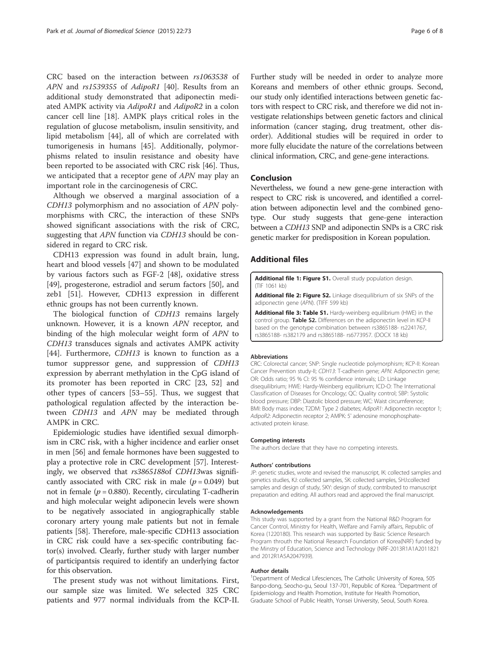<span id="page-5-0"></span>CRC based on the interaction between rs1063538 of APN and rs1539355 of AdipoR1 [\[40](#page-6-0)]. Results from an additional study demonstrated that adiponectin mediated AMPK activity via AdipoR1 and AdipoR2 in a colon cancer cell line [[18\]](#page-6-0). AMPK plays critical roles in the regulation of glucose metabolism, insulin sensitivity, and lipid metabolism [[44](#page-7-0)], all of which are correlated with tumorigenesis in humans [\[45](#page-7-0)]. Additionally, polymorphisms related to insulin resistance and obesity have been reported to be associated with CRC risk [\[46](#page-7-0)]. Thus, we anticipated that a receptor gene of APN may play an important role in the carcinogenesis of CRC.

Although we observed a marginal association of a CDH13 polymorphism and no association of APN polymorphisms with CRC, the interaction of these SNPs showed significant associations with the risk of CRC, suggesting that APN function via CDH13 should be considered in regard to CRC risk.

CDH13 expression was found in adult brain, lung, heart and blood vessels [[47\]](#page-7-0) and shown to be modulated by various factors such as FGF-2 [[48\]](#page-7-0), oxidative stress [[49\]](#page-7-0), progesterone, estradiol and serum factors [[50\]](#page-7-0), and zeb1 [[51](#page-7-0)]. However, CDH13 expression in different ethnic groups has not been currently known.

The biological function of CDH13 remains largely unknown. However, it is a known APN receptor, and binding of the high molecular weight form of APN to CDH13 transduces signals and activates AMPK activity [[44\]](#page-7-0). Furthermore, CDH13 is known to function as a tumor suppressor gene, and suppression of CDH13 expression by aberrant methylation in the CpG island of its promoter has been reported in CRC [\[23,](#page-6-0) [52](#page-7-0)] and other types of cancers [\[53](#page-7-0)–[55\]](#page-7-0). Thus, we suggest that pathological regulation affected by the interaction between CDH13 and APN may be mediated through AMPK in CRC.

Epidemiologic studies have identified sexual dimorphism in CRC risk, with a higher incidence and earlier onset in men [\[56\]](#page-7-0) and female hormones have been suggested to play a protective role in CRC development [\[57\]](#page-7-0). Interestingly, we observed that rs3865188of CDH13was significantly associated with CRC risk in male  $(p = 0.049)$  but not in female ( $p = 0.880$ ). Recently, circulating T-cadherin and high molecular weight adiponecin levels were shown to be negatively associated in angiographically stable coronary artery young male patients but not in female patients [[58](#page-7-0)]. Therefore, male-specific CDH13 association in CRC risk could have a sex-specific contributing factor(s) involved. Clearly, further study with larger number of participantsis required to identify an underlying factor for this observation.

The present study was not without limitations. First, our sample size was limited. We selected 325 CRC patients and 977 normal individuals from the KCP-II. Further study will be needed in order to analyze more Koreans and members of other ethnic groups. Second, our study only identified interactions between genetic factors with respect to CRC risk, and therefore we did not investigate relationships between genetic factors and clinical information (cancer staging, drug treatment, other disorder). Additional studies will be required in order to more fully elucidate the nature of the correlations between clinical information, CRC, and gene-gene interactions.

#### Conclusion

Nevertheless, we found a new gene-gene interaction with respect to CRC risk is uncovered, and identified a correlation between adiponectin level and the combined genotype. Our study suggests that gene-gene interaction between a CDH13 SNP and adiponectin SNPs is a CRC risk genetic marker for predisposition in Korean population.

#### Additional files

[Additional file 1: Figure S1.](http://www.jbiomedsci.com/content/supplementary/s12929-015-0180-9-s1.tif) Overall study population design. (TIF 1061 kb)

[Additional file 2: Figure S2.](http://www.jbiomedsci.com/content/supplementary/s12929-015-0180-9-s2.tiff) Linkage disequilibrium of six SNPs of the adiponectin gene (APN). (TIFF 599 kb)

[Additional file 3: Table S1.](http://www.jbiomedsci.com/content/supplementary/s12929-015-0180-9-s3.docx) Hardy-weinberg equilibrium (HWE) in the control group. Table S2. Differences on the adiponectin level in KCP-II based on the genotype combination between rs3865188- rs2241767, rs3865188- rs382179 and rs3865188- rs6773957. (DOCX 18 kb)

#### Abbreviations

CRC: Colorectal cancer; SNP: Single nucleotide polymorphism; KCP-II: Korean Cancer Prevention study-II; CDH13: T-cadherin gene; APN: Adiponectin gene; OR: Odds ratio; 95 % CI: 95 % confidence intervals; LD: Linkage disequilibrium; HWE: Hardy-Weinberg equilibrium; ICD-O: The International Classification of Diseases for Oncology; QC: Quality control; SBP: Systolic blood pressure; DBP: Diastolic blood pressure; WC: Waist circumference; BMI: Body mass index; T2DM: Type 2 diabetes; AdipoR1: Adiponectin receptor 1; AdipoR2: Adiponectin receptor 2; AMPK: 5' adenosine monophosphateactivated protein kinase.

#### Competing interests

The authors declare that they have no competing interests.

#### Authors' contributions

JP: genetic studies, wrote and revised the manuscript, IK: collected samples and genetics studies, KJ: collected samples, SK: collected samples, SHJ:collected samples and design of study, SKY: design of study, contributed to manuscript preparation and editing. All authors read and approved the final manuscript.

#### Acknowledgements

This study was supported by a grant from the National R&D Program for Cancer Control, Ministry for Health, Welfare and Family affairs, Republic of Korea (1220180). This research was supported by Basic Science Research Program throuth the National Research Foundation of Korea(NRF) funded by the Minstry of Education, Science and Technology (NRF-2013R1A1A2011821 and 2012R1A5A2047939).

#### Author details

<sup>1</sup>Department of Medical Lifesciences, The Catholic University of Korea, 505 Banpo-dong, Seocho-gu, Seoul 137-701, Republic of Korea. <sup>2</sup>Department of Epidemiology and Health Promotion, Institute for Health Promotion, Graduate School of Public Health, Yonsei University, Seoul, South Korea.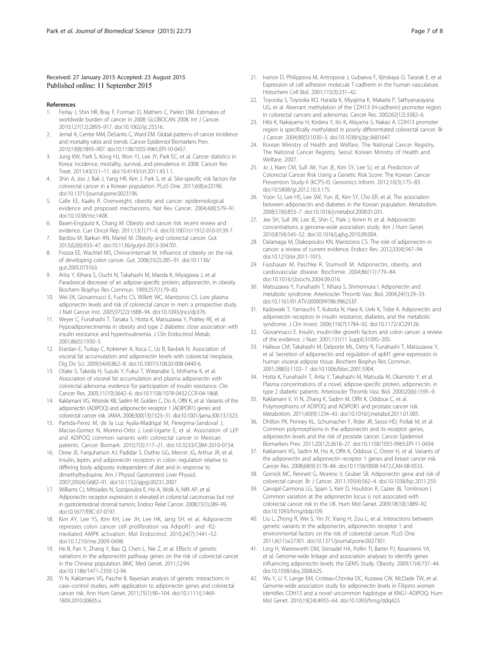#### <span id="page-6-0"></span>Received: 27 January 2015 Accepted: 23 August 2015 Published online: 11 September 2015

#### References

- 1. Ferlay J, Shin HR, Bray F, Forman D, Mathers C, Parkin DM. Estimates of worldwide burden of cancer in 2008: GLOBOCAN 2008. Int J Cancer. 2010;127(12):2893–917. doi:[10.1002/ijc.25516.](http://dx.doi.org/10.1002/ijc.25516)
- Jemal A, Center MM, DeSantis C, Ward EM. Global patterns of cancer incidence and mortality rates and trends. Cancer Epidemiol Biomarkers Prev. 2010;19(8):1893–907. doi[:10.1158/1055-9965.EPI-10-0437](http://dx.doi.org/10.1158/1055-9965.EPI-10-0437).
- Jung KW, Park S, Kong HJ, Won YJ, Lee JY, Park EC, et al. Cancer statistics in Korea: incidence, mortality, survival, and prevalence in 2008. Cancer Res Treat. 2011;43(1):1–11. doi[:10.4143/crt.2011.43.1.1.](http://dx.doi.org/10.4143/crt.2011.43.1.1)
- 4. Shin A, Joo J, Bak J, Yang HR, Kim J, Park S, et al. Site-specific risk factors for colorectal cancer in a Korean population. PLoS One. 2011;6(8):e23196. doi[:10.1371/journal.pone.0023196.](http://dx.doi.org/10.1371/journal.pone.0023196)
- 5. Calle EE, Kaaks R. Overweight, obesity and cancer: epidemiological evidence and proposed mechanisms. Nat Rev Cancer. 2004;4(8):579–91. doi[:10.1038/nrc1408](http://dx.doi.org/10.1038/nrc1408).
- 6. Basen-Engquist K, Chang M. Obesity and cancer risk: recent review and evidence. Curr Oncol Rep. 2011;13(1):71–6. doi[:10.1007/s11912-010-0139-7.](http://dx.doi.org/10.1007/s11912-010-0139-7)
- 7. Bardou M, Barkun AN, Martel M. Obesity and colorectal cancer. Gut. 2013;62(6):933–47. doi:[10.1136/gutjnl-2013-304701.](http://dx.doi.org/10.1136/gutjnl-2013-304701)
- 8. Frezza EE, Wachtel MS, Chiriva-Internati M. Influence of obesity on the risk of developing colon cancer. Gut. 2006;55(2):285–91. doi:[10.1136/](http://dx.doi.org/10.1136/gut.2005.073163) [gut.2005.073163.](http://dx.doi.org/10.1136/gut.2005.073163)
- 9. Arita Y, Kihara S, Ouchi N, Takahashi M, Maeda K, Miyagawa J, et al. Paradoxical decrease of an adipose-specific protein, adiponectin, in obesity. Biochem Biophys Res Commun. 1999;257(1):79–83.
- 10. Wei EK, Giovannucci E, Fuchs CS, Willett WC, Mantzoros CS. Low plasma adiponectin levels and risk of colorectal cancer in men: a prospective study. J Natl Cancer Inst. 2005;97(22):1688–94. doi:[10.1093/jnci/dji376](http://dx.doi.org/10.1093/jnci/dji376).
- 11. Weyer C, Funahashi T, Tanaka S, Hotta K, Matsuzawa Y, Pratley RE, et al. Hypoadiponectinemia in obesity and type 2 diabetes: close association with insulin resistance and hyperinsulinemia. J Clin Endocrinol Metab. 2001;86(5):1930–5.
- 12. Erarslan E, Turkay C, Koktener A, Koca C, Uz B, Bavbek N. Association of visceral fat accumulation and adiponectin levels with colorectal neoplasia. Dig Dis Sci. 2009;54(4):862–8. doi:[10.1007/s10620-008-0440-6.](http://dx.doi.org/10.1007/s10620-008-0440-6)
- 13. Otake S, Takeda H, Suzuki Y, Fukui T, Watanabe S, Ishihama K, et al. Association of visceral fat accumulation and plasma adiponectin with colorectal adenoma: evidence for participation of insulin resistance. Clin Cancer Res. 2005;11(10):3642–6. doi:[10.1158/1078-0432.CCR-04-1868.](http://dx.doi.org/10.1158/1078-0432.CCR-04-1868)
- 14. Kaklamani VG, Wisinski KB, Sadim M, Gulden C, Do A, Offit K, et al. Variants of the adiponectin (ADIPOQ) and adiponectin receptor 1 (ADIPOR1) genes and colorectal cancer risk. JAMA. 2008;300(13):1523–31. doi[:10.1001/jama.300.13.1523](http://dx.doi.org/10.1001/jama.300.13.1523).
- 15. Partida-Perez M, de la Luz Ayala-Madrigal M, Peregrina-Sandoval J, Macias-Gomez N, Moreno-Ortiz J, Leal-Ugarte E, et al. Association of LEP and ADIPOQ common variants with colorectal cancer in Mexican patients. Cancer Biomark. 2010;7(3):117–21. doi[:10.3233/CBM-2010-0154.](http://dx.doi.org/10.3233/CBM-2010-0154)
- 16. Drew JE, Farquharson AJ, Padidar S, Duthie GG, Mercer JG, Arthur JR, et al. Insulin, leptin, and adiponectin receptors in colon: regulation relative to differing body adiposity independent of diet and in response to dimethylhydrazine. Am J Physiol Gastrointest Liver Physiol. 2007;293(4):G682–91. doi:[10.1152/ajpgi.00231.2007.](http://dx.doi.org/10.1152/ajpgi.00231.2007)
- 17. Williams CJ, Mitsiades N, Sozopoulos E, Hsi A, Wolk A, Nifli AP, et al. Adiponectin receptor expression is elevated in colorectal carcinomas but not in gastrointestinal stromal tumors. Endocr Relat Cancer. 2008;15(1):289–99. doi:[10.1677/ERC-07-0197.](http://dx.doi.org/10.1677/ERC-07-0197)
- 18. Kim AY, Lee YS, Kim KH, Lee JH, Lee HK, Jang SH, et al. Adiponectin represses colon cancer cell proliferation via AdipoR1- and -R2 mediated AMPK activation. Mol Endocrinol. 2010;24(7):1441–52. doi:[10.1210/me.2009-0498](http://dx.doi.org/10.1210/me.2009-0498).
- 19. He B, Pan Y, Zhang Y, Bao Q, Chen L, Nie Z, et al. Effects of genetic variations in the adiponectin pathway genes on the risk of colorectal cancer in the Chinese population. BMC Med Genet. 2011;12:94. doi[:10.1186/1471-2350-12-94](http://dx.doi.org/10.1186/1471-2350-12-94).
- 20. Yi N, Kaklamani VG, Pasche B. Bayesian analysis of genetic interactions in case–control studies, with application to adiponectin genes and colorectal cancer risk. Ann Hum Genet. 2011;75(1):90–104. doi:[10.1111/j.1469-](http://dx.doi.org/10.1111/j.1469-1809.2010.00605.x) [1809.2010.00605.x.](http://dx.doi.org/10.1111/j.1469-1809.2010.00605.x)
- 21. Ivanov D, Philippova M, Antropova J, Gubaeva F, Iljinskaya O, Tararak E, et al. Expression of cell adhesion molecule T-cadherin in the human vasculature. Histochem Cell Biol. 2001;115(3):231–42.
- 22. Toyooka S, Toyooka KO, Harada K, Miyajima K, Makarla P, Sathyanarayana UG, et al. Aberrant methylation of the CDH13 (H-cadherin) promoter region in colorectal cancers and adenomas. Cancer Res. 2002;62(12):3382–6.
- 23. Hibi K, Nakayama H, Kodera Y, Ito K, Akiyama S, Nakao A. CDH13 promoter region is specifically methylated in poorly differentiated colorectal cancer. Br J Cancer. 2004;90(5):1030–3. doi[:10.1038/sj.bjc.6601647](http://dx.doi.org/10.1038/sj.bjc.6601647).
- 24. Korean Ministry of Health and Welfare. The National Cancer Registry, The National Cancer Registry. Seoul: Korean Ministry of Health and Welfare; 2007.
- 25. Jo J, Nam CM, Sull JW, Yun JE, Kim SY, Lee SJ, et al. Prediction of Colorectal Cancer Risk Using a Genetic Risk Score: The Korean Cancer Prevention Study-II (KCPS-II). Genomics Inform. 2012;10(3):175–83. doi[:10.5808/gi.2012.10.3.175.](http://dx.doi.org/10.5808/gi.2012.10.3.175)
- 26. Yoon SJ, Lee HS, Lee SW, Yun JE, Kim SY, Cho ER, et al. The association between adiponectin and diabetes in the Korean population. Metabolism. 2008;57(6):853–7. doi:[10.1016/j.metabol.2008.01.031](http://dx.doi.org/10.1016/j.metabol.2008.01.031).
- 27. Jee SH, Sull JW, Lee JE, Shin C, Park J, Kimm H, et al. Adiponectin concentrations: a genome-wide association study. Am J Hum Genet. 2010;87(4):545–52. doi:[10.1016/j.ajhg.2010.09.004](http://dx.doi.org/10.1016/j.ajhg.2010.09.004).
- 28. Dalamaga M, Diakopoulos KN, Mantzoros CS. The role of adiponectin in cancer: a review of current evidence. Endocr Rev. 2012;33(4):547–94. doi[:10.1210/er.2011-1015](http://dx.doi.org/10.1210/er.2011-1015).
- 29. Fasshauer M, Paschke R, Stumvoll M. Adiponectin, obesity, and cardiovascular disease. Biochimie. 2004;86(11):779–84. doi:[10.1016/j.biochi.2004.09.016](http://dx.doi.org/10.1016/j.biochi.2004.09.016).
- 30. Matsuzawa Y, Funahashi T, Kihara S, Shimomura I. Adiponectin and metabolic syndrome. Arterioscler Thromb Vasc Biol. 2004;24(1):29–33. doi[:10.1161/01.ATV.0000099786.99623.EF](http://dx.doi.org/10.1161/01.ATV.0000099786.99623.EF).
- 31. Kadowaki T, Yamauchi T, Kubota N, Hara K, Ueki K, Tobe K. Adiponectin and adiponectin receptors in insulin resistance, diabetes, and the metabolic syndrome. J Clin Invest. 2006;116(7):1784–92. doi:[10.1172/JCI29126](http://dx.doi.org/10.1172/JCI29126).
- 32. Giovannucci E. Insulin, insulin-like growth factors and colon cancer: a review of the evidence. J Nutr. 2001;131(11 Suppl):3109S–20S.
- 33. Halleux CM, Takahashi M, Delporte ML, Detry R, Funahashi T, Matsuzawa Y, et al. Secretion of adiponectin and regulation of apM1 gene expression in human visceral adipose tissue. Biochem Biophys Res Commun. 2001;288(5):1102–7. doi[:10.1006/bbrc.2001.5904](http://dx.doi.org/10.1006/bbrc.2001.5904).
- 34. Hotta K, Funahashi T, Arita Y, Takahashi M, Matsuda M, Okamoto Y, et al. Plasma concentrations of a novel, adipose-specific protein, adiponectin, in type 2 diabetic patients. Arterioscler Thromb Vasc Biol. 2000;20(6):1595–9.
- 35. Kaklamani V, Yi N, Zhang K, Sadim M, Offit K, Oddoux C, et al. Polymorphisms of ADIPOQ and ADIPOR1 and prostate cancer risk. Metabolism. 2011;60(9):1234–43. doi:[10.1016/j.metabol.2011.01.005.](http://dx.doi.org/10.1016/j.metabol.2011.01.005)
- 36. Dhillon PK, Penney KL, Schumacher F, Rider JR, Sesso HD, Pollak M, et al. Common polymorphisms in the adiponectin and its receptor genes, adiponectin levels and the risk of prostate cancer. Cancer Epidemiol Biomarkers Prev. 2011;20(12):2618–27. doi[:10.1158/1055-9965.EPI-11-0434](http://dx.doi.org/10.1158/1055-9965.EPI-11-0434).
- 37. Kaklamani VG, Sadim M, Hsi A, Offit K, Oddoux C, Ostrer H, et al. Variants of the adiponectin and adiponectin receptor 1 genes and breast cancer risk. Cancer Res. 2008;68(9):3178–84. doi[:10.1158/0008-5472.CAN-08-0533.](http://dx.doi.org/10.1158/0008-5472.CAN-08-0533)
- 38. Gornick MC, Rennert G, Moreno V, Gruber SB. Adiponectin gene and risk of colorectal cancer. Br J Cancer. 2011;105(4):562–4. doi:[10.1038/bjc.2011.259.](http://dx.doi.org/10.1038/bjc.2011.259)
- 39. Carvajal-Carmona LG, Spain S, Kerr D, Houlston R, Cazier JB, Tomlinson I. Common variation at the adiponectin locus is not associated with colorectal cancer risk in the UK. Hum Mol Genet. 2009;18(10):1889–92. doi[:10.1093/hmg/ddp109.](http://dx.doi.org/10.1093/hmg/ddp109)
- 40. Liu L, Zhong R, Wei S, Yin JY, Xiang H, Zou L, et al. Interactions between genetic variants in the adiponectin, adiponectin receptor 1 and environmental factors on the risk of colorectal cancer. PLoS One. 2011;6(11):e27301. doi:[10.1371/journal.pone.0027301.](http://dx.doi.org/10.1371/journal.pone.0027301)
- 41. Ling H, Waterworth DM, Stirnadel HA, Pollin TI, Barter PJ, Kesaniemi YA, et al. Genome-wide linkage and association analyses to identify genes influencing adiponectin levels: the GEMS Study. Obesity. 2009;17(4):737–44. doi[:10.1038/oby.2008.625](http://dx.doi.org/10.1038/oby.2008.625).
- 42. Wu Y, Li Y, Lange EM, Croteau-Chonka DC, Kuzawa CW, McDade TW, et al. Genome-wide association study for adiponectin levels in Filipino women identifies CDH13 and a novel uncommon haplotype at KNG1-ADIPOQ. Hum Mol Genet. 2010;19(24):4955–64. doi[:10.1093/hmg/ddq423.](http://dx.doi.org/10.1093/hmg/ddq423)